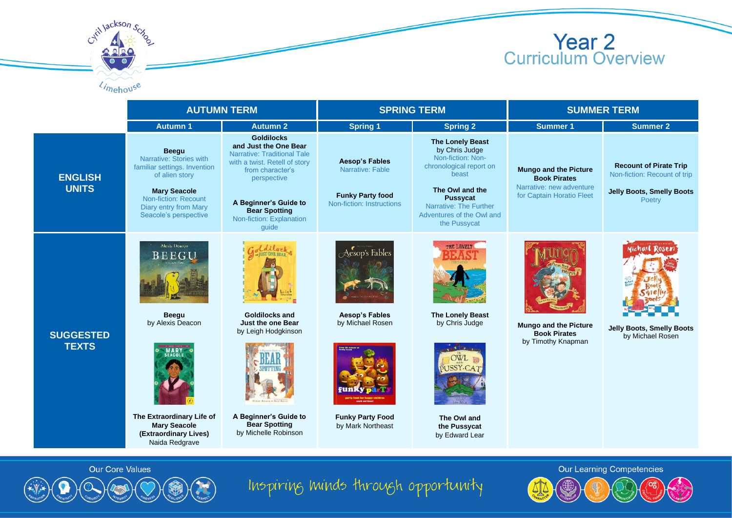

|                                              | <b>AUTUMN TERM</b>                                                                                                                                                                         |                                                                                                                                                                                                                                            | <b>SPRING TERM</b>                                                                                          |                                                                                                                                                                                                          | <b>SUMMER TERM</b>                                                                                           |                                                                                                             |
|----------------------------------------------|--------------------------------------------------------------------------------------------------------------------------------------------------------------------------------------------|--------------------------------------------------------------------------------------------------------------------------------------------------------------------------------------------------------------------------------------------|-------------------------------------------------------------------------------------------------------------|----------------------------------------------------------------------------------------------------------------------------------------------------------------------------------------------------------|--------------------------------------------------------------------------------------------------------------|-------------------------------------------------------------------------------------------------------------|
|                                              | <b>Autumn 1</b>                                                                                                                                                                            | <b>Autumn 2</b>                                                                                                                                                                                                                            | <b>Spring 1</b>                                                                                             | <b>Spring 2</b>                                                                                                                                                                                          | <b>Summer 1</b>                                                                                              | <b>Summer 2</b>                                                                                             |
| <b>ENGLISH</b><br><b>UNITS</b>               | <b>Beegu</b><br>Narrative: Stories with<br>familiar settings. Invention<br>of alien story<br><b>Mary Seacole</b><br>Non-fiction: Recount<br>Diary entry from Mary<br>Seacole's perspective | <b>Goldilocks</b><br>and Just the One Bear<br><b>Narrative: Traditional Tale</b><br>with a twist. Retell of story<br>from character's<br>perspective<br>A Beginner's Guide to<br><b>Bear Spotting</b><br>Non-fiction: Explanation<br>quide | <b>Aesop's Fables</b><br>Narrative: Fable<br><b>Funky Party food</b><br>Non-fiction: Instructions           | The Lonely Beast<br>by Chris Judge<br>Non-fiction: Non-<br>chronological report on<br>beast<br>The Owl and the<br><b>Pussycat</b><br>Narrative: The Further<br>Adventures of the Owl and<br>the Pussycat | <b>Mungo and the Picture</b><br><b>Book Pirates</b><br>Narrative: new adventure<br>for Captain Horatio Fleet | <b>Recount of Pirate Trip</b><br>Non-fiction: Recount of trip<br><b>Jelly Boots, Smelly Boots</b><br>Poetry |
| <b>SUGGESTED</b><br><b>TEXTS</b>             | Alexis Deacon<br>BEEGL<br><b>Beegu</b><br>by Alexis Deacon<br>MARY<br>EACOLI<br>The Extraordinary Life of<br><b>Mary Seacole</b><br>(Extraordinary Lives)<br>Naida Redgrave                | <b>Goldilocks and</b><br>Just the one Bear<br>by Leigh Hodgkinson<br>A Beginner's Guide to<br><b>Bear Spotting</b><br>by Michelle Robinson                                                                                                 | Aesop's Fables<br><b>Aesop's Fables</b><br>by Michael Rosen<br><b>Funky Party Food</b><br>by Mark Northeast | THE LONELY<br><b>The Lonely Beast</b><br>by Chris Judge<br>OWL<br>SSY-CA<br>The Owl and<br>the Pussycat<br>by Edward Lear                                                                                | <b>Mungo and the Picture</b><br><b>Book Pirates</b><br>by Timothy Knapman                                    | Michael Rosen<br><b>Jelly Boots, Smelly Boots</b><br>by Michael Rosen                                       |
| Our Learning Competencies<br>Our Core Values |                                                                                                                                                                                            |                                                                                                                                                                                                                                            |                                                                                                             |                                                                                                                                                                                                          |                                                                                                              |                                                                                                             |



Critillackson Sch

Limehouse

Inspiring minds through opportunity

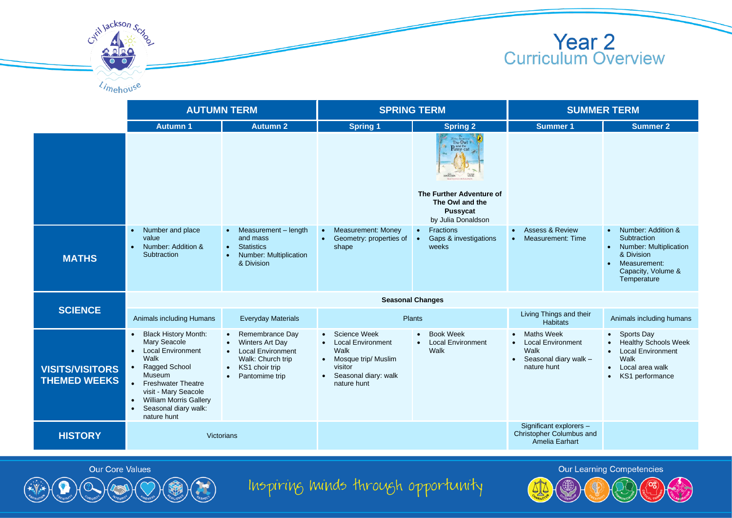

|                                               | <b>AUTUMN TERM</b>                                                                                                                                                                                                                                                                                  |                                                                                                                                                   | <b>SPRING TERM</b>                                                                                                                         |                                                                                                                         | <b>SUMMER TERM</b>                                                                                         |                                                                                                                                                                 |  |
|-----------------------------------------------|-----------------------------------------------------------------------------------------------------------------------------------------------------------------------------------------------------------------------------------------------------------------------------------------------------|---------------------------------------------------------------------------------------------------------------------------------------------------|--------------------------------------------------------------------------------------------------------------------------------------------|-------------------------------------------------------------------------------------------------------------------------|------------------------------------------------------------------------------------------------------------|-----------------------------------------------------------------------------------------------------------------------------------------------------------------|--|
|                                               | <b>Autumn1</b>                                                                                                                                                                                                                                                                                      | <b>Autumn 2</b>                                                                                                                                   | <b>Spring 1</b>                                                                                                                            | <b>Spring 2</b>                                                                                                         | Summer 1                                                                                                   | <b>Summer 2</b>                                                                                                                                                 |  |
|                                               |                                                                                                                                                                                                                                                                                                     |                                                                                                                                                   |                                                                                                                                            | The Owl<br>The Owl<br>Pussy-cat<br>The Further Adventure of<br>The Owl and the<br><b>Pussycat</b><br>by Julia Donaldson |                                                                                                            |                                                                                                                                                                 |  |
| <b>MATHS</b>                                  | Number and place<br>$\bullet$<br>value<br>Number: Addition &<br>$\bullet$<br>Subtraction                                                                                                                                                                                                            | Measurement - length<br>and mass<br><b>Statistics</b><br>$\bullet$<br>Number: Multiplication<br>& Division                                        | <b>Measurement: Money</b><br>Geometry: properties of<br>shape                                                                              | <b>Fractions</b><br>$\bullet$<br>Gaps & investigations<br>$\bullet$<br>weeks                                            | <b>Assess &amp; Review</b><br>$\bullet$<br>Measurement: Time<br>$\bullet$                                  | Number: Addition &<br>$\bullet$<br>Subtraction<br><b>Number: Multiplication</b><br>$\bullet$<br>& Division<br>Measurement:<br>Capacity, Volume &<br>Temperature |  |
| <b>SCIENCE</b>                                | <b>Seasonal Changes</b>                                                                                                                                                                                                                                                                             |                                                                                                                                                   |                                                                                                                                            |                                                                                                                         |                                                                                                            |                                                                                                                                                                 |  |
|                                               | Animals including Humans                                                                                                                                                                                                                                                                            | <b>Everyday Materials</b>                                                                                                                         | Plants                                                                                                                                     |                                                                                                                         | Living Things and their<br><b>Habitats</b>                                                                 | Animals including humans                                                                                                                                        |  |
| <b>VISITS/VISITORS</b><br><b>THEMED WEEKS</b> | <b>Black History Month:</b><br>$\bullet$<br>Mary Seacole<br><b>Local Environment</b><br>$\bullet$<br>Walk<br>Ragged School<br>$\bullet$<br>Museum<br>• Freshwater Theatre<br>visit - Mary Seacole<br><b>William Morris Gallery</b><br>$\bullet$<br>Seasonal diary walk:<br>$\bullet$<br>nature hunt | Remembrance Day<br>Winters Art Day<br><b>Local Environment</b><br>Walk: Church trip<br>KS1 choir trip<br>$\bullet$<br>Pantomime trip<br>$\bullet$ | • Science Week<br><b>Local Environment</b><br>Walk<br>• Mosque trip/ Muslim<br>visitor<br>Seasonal diary: walk<br>$\bullet$<br>nature hunt | <b>Book Week</b><br>$\bullet$<br><b>Local Environment</b><br>Walk                                                       | <b>Maths Week</b><br><b>Local Environment</b><br>Walk<br>Seasonal diary walk -<br>$\bullet$<br>nature hunt | • Sports Day<br><b>Healthy Schools Week</b><br><b>Local Environment</b><br>Walk<br>Local area walk<br>$\bullet$<br>KS1 performance                              |  |
| <b>HISTORY</b>                                | Victorians                                                                                                                                                                                                                                                                                          |                                                                                                                                                   |                                                                                                                                            |                                                                                                                         | Significant explorers -<br>Christopher Columbus and<br>Amelia Earhart                                      |                                                                                                                                                                 |  |





Inspiring minds through opportunity

**Our Learning Competencies**